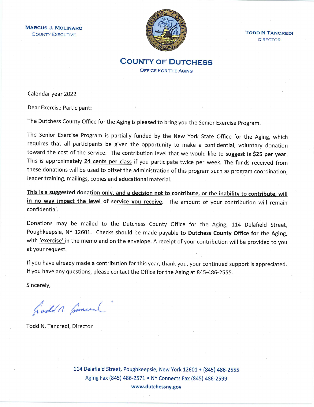**MARCUS J. MOLINARO COUNTY EXECUTIVE** 



**TODD N TANCREDI DIRECTOR** 

**COUNTY OF DUTCHESS OFFICE FOR THE AGING** 

Calendar year 2022

Dear Exercise Participant:

The Dutchess County Office for the Aging is pleased to bring you the Senior Exercise Program.

The Senior Exercise Program is partially funded by the New York State Office for the Aging, which requires that all participants be given the opportunity to make a confidential, voluntary donation toward the cost of the service. The contribution level that we would like to suggest is \$25 per year. This is approximately 24 cents per class if you participate twice per week. The funds received from these donations will be used to offset the administration of this program such as program coordination, leader training, mailings, copies and educational material.

This is a suggested donation only, and a decision not to contribute, or the inability to contribute, will in no way impact the level of service you receive. The amount of your contribution will remain confidential.

Donations may be mailed to the Dutchess County Office for the Aging, 114 Delafield Street, Poughkeepsie, NY 12601. Checks should be made payable to Dutchess County Office for the Aging, with 'exercise' in the memo and on the envelope. A receipt of your contribution will be provided to you at your request.

If you have already made a contribution for this year, thank you, your continued support is appreciated. If you have any questions, please contact the Office for the Aging at 845-486-2555.

Sincerely,

Godd n. Sancel

Todd N. Tancredi, Director

114 Delafield Street, Poughkeepsie, New York 12601 • (845) 486-2555 Aging Fax (845) 486-2571 • NY Connects Fax (845) 486-2599 www.dutchessny.gov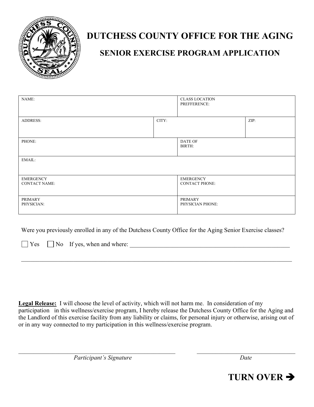

# **DUTCHESS COUNTY OFFICE FOR THE AGING**

## **SENIOR EXERCISE PROGRAM APPLICATION**

| NAME:                                    |       | <b>CLASS LOCATION</b><br>PREFFERENCE:     |      |  |
|------------------------------------------|-------|-------------------------------------------|------|--|
| <b>ADDRESS:</b>                          | CITY: |                                           | ZIP: |  |
| PHONE:                                   |       | DATE OF<br>BIRTH:                         |      |  |
| EMAIL:                                   |       |                                           |      |  |
| <b>EMERGENCY</b><br><b>CONTACT NAME:</b> |       | <b>EMERGENCY</b><br><b>CONTACT PHONE:</b> |      |  |
| PRIMARY<br>PHYSICIAN:                    |       | PRIMARY<br>PHYSICIAN PHONE:               |      |  |

Were you previously enrolled in any of the Dutchess County Office for the Aging Senior Exercise classes?

 $\Box$  Yes  $\Box$  No If yes, when and where:

**Legal Release:** I will choose the level of activity, which will not harm me. In consideration of my participation in this wellness/exercise program, I hereby release the Dutchess County Office for the Aging and the Landlord of this exercise facility from any liability or claims, for personal injury or otherwise, arising out of or in any way connected to my participation in this wellness/exercise program.

*Participant's Signature Date*

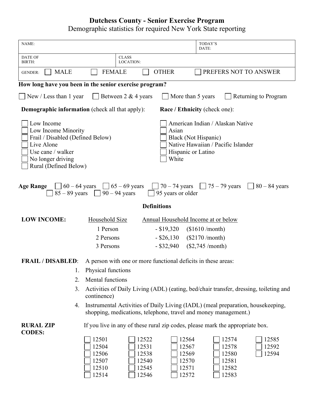## **Dutchess County - Senior Exercise Program** Demographic statistics for required New York State reporting

| NAME:                                                                                                                                                                                                                                                                                            |                                                                                                                                                    |                                                    | TODAY'S<br>DATE:                                   |                         |  |
|--------------------------------------------------------------------------------------------------------------------------------------------------------------------------------------------------------------------------------------------------------------------------------------------------|----------------------------------------------------------------------------------------------------------------------------------------------------|----------------------------------------------------|----------------------------------------------------|-------------------------|--|
| <b>DATE OF</b><br><b>BIRTH:</b>                                                                                                                                                                                                                                                                  | <b>CLASS</b><br>LOCATION:                                                                                                                          |                                                    |                                                    |                         |  |
| <b>MALE</b><br><b>GENDER:</b>                                                                                                                                                                                                                                                                    | <b>FEMALE</b>                                                                                                                                      | <b>OTHER</b>                                       | PREFERS NOT TO ANSWER                              |                         |  |
|                                                                                                                                                                                                                                                                                                  | How long have you been in the senior exercise program?                                                                                             |                                                    |                                                    |                         |  |
| Returning to Program<br>$\vert$ New / Less than 1 year<br>$\vert$ Between 2 & 4 years<br>More than 5 years                                                                                                                                                                                       |                                                                                                                                                    |                                                    |                                                    |                         |  |
| <b>Demographic information</b> (check all that apply):<br>Race / Ethnicity (check one):                                                                                                                                                                                                          |                                                                                                                                                    |                                                    |                                                    |                         |  |
| American Indian / Alaskan Native<br>Low Income<br>Low Income Minority<br>Asian<br>Frail / Disabled (Defined Below)<br>Black (Not Hispanic)<br>Native Hawaiian / Pacific Islander<br>Live Alone<br>Use cane / walker<br>Hispanic or Latino<br>No longer driving<br>White<br>Rural (Defined Below) |                                                                                                                                                    |                                                    |                                                    |                         |  |
| <b>Age Range</b><br>$\Box$ 60 – 64 years $\Box$ 65 – 69 years<br>70 – 74 years $\begin{bmatrix} 75 - 79 \text{ years} \end{bmatrix}$<br>$80 - 84$ years<br>85 – 89 years $\Box$ 90 – 94 years<br>95 years or older                                                                               |                                                                                                                                                    |                                                    |                                                    |                         |  |
|                                                                                                                                                                                                                                                                                                  |                                                                                                                                                    | <b>Definitions</b>                                 |                                                    |                         |  |
| <b>LOW INCOME:</b>                                                                                                                                                                                                                                                                               | Household Size                                                                                                                                     | Annual Household Income at or below                |                                                    |                         |  |
|                                                                                                                                                                                                                                                                                                  | 1 Person                                                                                                                                           | $-$ \$19,320                                       | $(\$1610/month)$                                   |                         |  |
|                                                                                                                                                                                                                                                                                                  | 2 Persons                                                                                                                                          | $-$ \$26,130                                       | $(\$2170/month)$                                   |                         |  |
|                                                                                                                                                                                                                                                                                                  | 3 Persons                                                                                                                                          | $-$ \$32,940                                       | $(\$2,745/month)$                                  |                         |  |
| A person with one or more functional deficits in these areas:<br><b>FRAIL / DISABLED:</b>                                                                                                                                                                                                        |                                                                                                                                                    |                                                    |                                                    |                         |  |
| 1.                                                                                                                                                                                                                                                                                               | Physical functions                                                                                                                                 |                                                    |                                                    |                         |  |
| 2.                                                                                                                                                                                                                                                                                               | <b>Mental functions</b>                                                                                                                            |                                                    |                                                    |                         |  |
| 3.                                                                                                                                                                                                                                                                                               | Activities of Daily Living (ADL) (eating, bed/chair transfer, dressing, toileting and<br>continence)                                               |                                                    |                                                    |                         |  |
| 4.                                                                                                                                                                                                                                                                                               | Instrumental Activities of Daily Living (IADL) (meal preparation, housekeeping,<br>shopping, medications, telephone, travel and money management.) |                                                    |                                                    |                         |  |
| <b>RURAL ZIP</b><br><b>CODES:</b>                                                                                                                                                                                                                                                                | If you live in any of these rural zip codes, please mark the appropriate box.                                                                      |                                                    |                                                    |                         |  |
|                                                                                                                                                                                                                                                                                                  | 12501<br>12522<br>12504<br>12531<br>12506<br>12538<br>12507<br>12540<br>12510<br>12545<br>12514<br>12546                                           | 12564<br>12567<br>12569<br>12570<br>12571<br>12572 | 12574<br>12578<br>12580<br>12581<br>12582<br>12583 | 12585<br>12592<br>12594 |  |